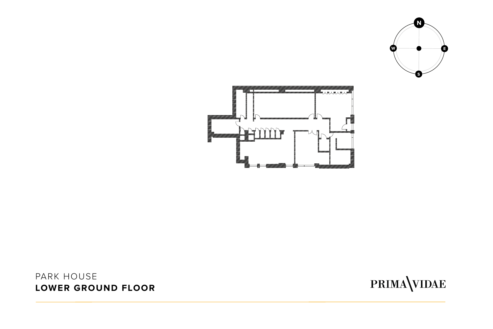#### PARK HOUSE **LOWER GROUND FLOOR**



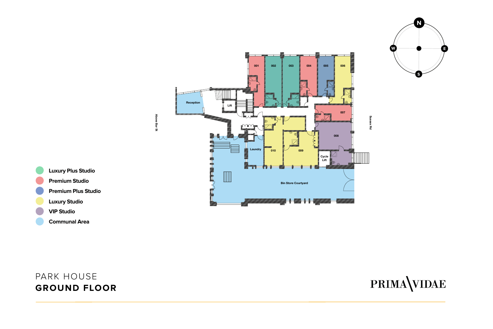





- **VIP Studio**
- **Communal Area**

PARK HOUSE **GROUND FLOOR**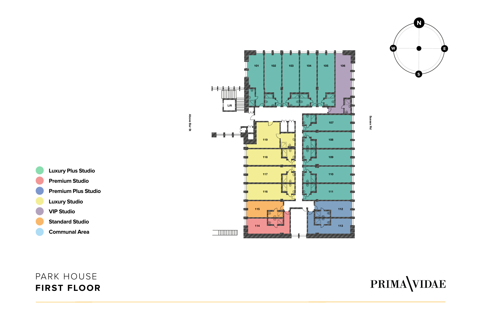



- **Luxury Plus Studio Premium Studio Premium Plus Studio Luxury Studio VIP Studio**
	- **Standard Studio**
	- **Communal Area**

#### PARK HOUSE **FIRST FLOOR**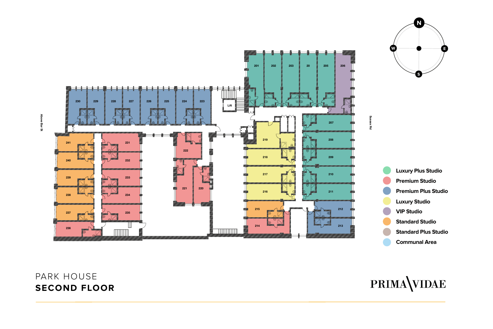### PARK HOUSE **SECOND FLOOR**